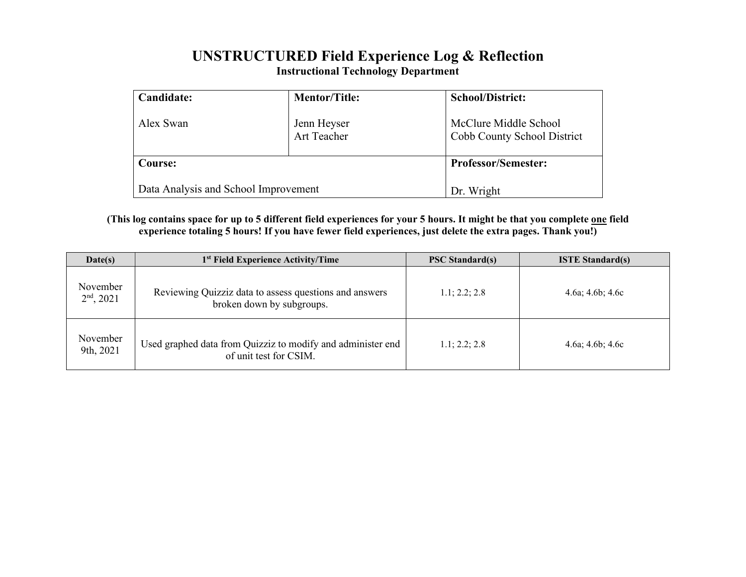## **UNSTRUCTURED Field Experience Log & Reflection Instructional Technology Department**

| Candidate:                           | <b>Mentor/Title:</b>       | <b>School/District:</b>                              |
|--------------------------------------|----------------------------|------------------------------------------------------|
| Alex Swan                            | Jenn Heyser<br>Art Teacher | McClure Middle School<br>Cobb County School District |
| Course:                              |                            | <b>Professor/Semester:</b>                           |
| Data Analysis and School Improvement |                            | Dr. Wright                                           |

**(This log contains space for up to 5 different field experiences for your 5 hours. It might be that you complete one field experience totaling 5 hours! If you have fewer field experiences, just delete the extra pages. Thank you!)**

| Date(s)                  | 1 <sup>st</sup> Field Experience Activity/Time                                        | <b>PSC Standard(s)</b> | <b>ISTE Standard(s)</b>  |  |
|--------------------------|---------------------------------------------------------------------------------------|------------------------|--------------------------|--|
| November<br>$2nd$ , 2021 | Reviewing Quizziz data to assess questions and answers<br>broken down by subgroups.   | 1.1; 2.2; 2.8          | $4.6a$ ; $4.6b$ ; $4.6c$ |  |
| November<br>9th, 2021    | Used graphed data from Quizziz to modify and administer end<br>of unit test for CSIM. | 1.1: 2.2: 2.8          | $4.6a$ ; $4.6b$ ; $4.6c$ |  |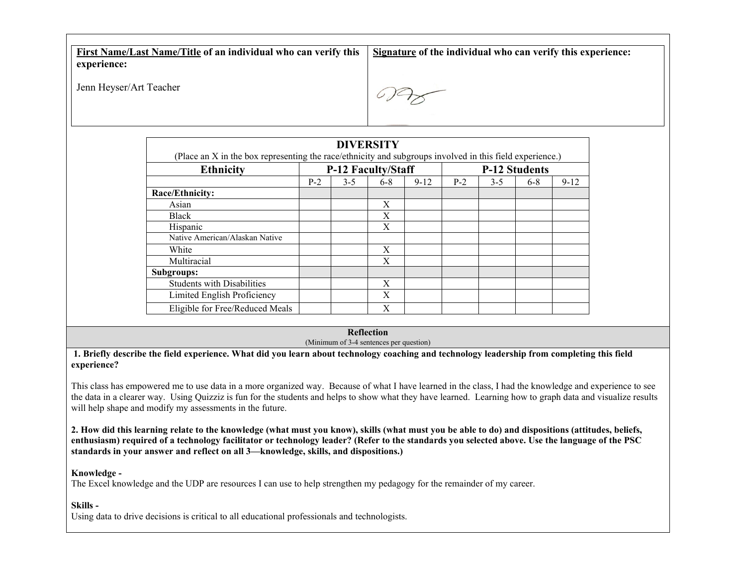**First Name/Last Name/Title of an individual who can verify this experience: Signature of the individual who can verify this experience:**

Jenn Heyser/Art Teacher

| <b>DIVERSITY</b><br>(Place an X in the box representing the race/ethnicity and subgroups involved in this field experience.) |                           |         |         |                      |       |         |         |          |  |  |  |
|------------------------------------------------------------------------------------------------------------------------------|---------------------------|---------|---------|----------------------|-------|---------|---------|----------|--|--|--|
| <b>Ethnicity</b>                                                                                                             | <b>P-12 Faculty/Staff</b> |         |         | <b>P-12 Students</b> |       |         |         |          |  |  |  |
|                                                                                                                              | $P-2$                     | $3 - 5$ | $6 - 8$ | $9 - 12$             | $P-2$ | $3 - 5$ | $6 - 8$ | $9 - 12$ |  |  |  |
| Race/Ethnicity:                                                                                                              |                           |         |         |                      |       |         |         |          |  |  |  |
| Asian                                                                                                                        |                           |         | X       |                      |       |         |         |          |  |  |  |
| Black                                                                                                                        |                           |         | X       |                      |       |         |         |          |  |  |  |
| Hispanic                                                                                                                     |                           |         | X       |                      |       |         |         |          |  |  |  |
| Native American/Alaskan Native                                                                                               |                           |         |         |                      |       |         |         |          |  |  |  |
| White                                                                                                                        |                           |         | Χ       |                      |       |         |         |          |  |  |  |
| Multiracial                                                                                                                  |                           |         | X       |                      |       |         |         |          |  |  |  |
| Subgroups:                                                                                                                   |                           |         |         |                      |       |         |         |          |  |  |  |
| <b>Students with Disabilities</b>                                                                                            |                           |         | X       |                      |       |         |         |          |  |  |  |
| Limited English Proficiency                                                                                                  |                           |         | X       |                      |       |         |         |          |  |  |  |
| Eligible for Free/Reduced Meals                                                                                              |                           |         | X       |                      |       |         |         |          |  |  |  |

**Reflection**

(Minimum of 3-4 sentences per question)

**1. Briefly describe the field experience. What did you learn about technology coaching and technology leadership from completing this field experience?** 

This class has empowered me to use data in a more organized way. Because of what I have learned in the class, I had the knowledge and experience to see the data in a clearer way. Using Quizziz is fun for the students and helps to show what they have learned. Learning how to graph data and visualize results will help shape and modify my assessments in the future.

**2. How did this learning relate to the knowledge (what must you know), skills (what must you be able to do) and dispositions (attitudes, beliefs, enthusiasm) required of a technology facilitator or technology leader? (Refer to the standards you selected above. Use the language of the PSC standards in your answer and reflect on all 3—knowledge, skills, and dispositions.)**

**Knowledge -**

The Excel knowledge and the UDP are resources I can use to help strengthen my pedagogy for the remainder of my career.

**Skills -**

Using data to drive decisions is critical to all educational professionals and technologists.